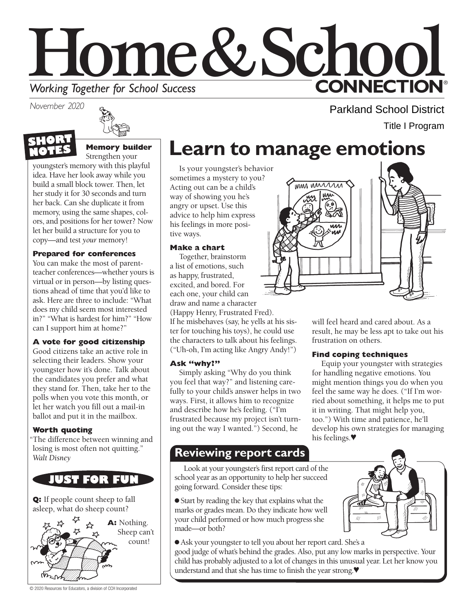# Home & School Success ® *Working Together for School Success* **CONNECTION**

*November 2020*





**Memory builder** Strengthen your

youngster's memory with this playful idea. Have her look away while you build a small block tower. Then, let her study it for 30 seconds and turn her back. Can she duplicate it from memory, using the same shapes, colors, and positions for her tower? Now let her build a structure for you to copy—and test *your* memory!

#### **Prepared for conferences**

You can make the most of parentteacher conferences—whether yours is virtual or in person—by listing questions ahead of time that you'd like to ask. Here are three to include: "What does my child seem most interested in?" "What is hardest for him?" "How can I support him at home?"

#### **A vote for good citizenship**

Good citizens take an active role in selecting their leaders. Show your youngster how it's done. Talk about the candidates you prefer and what they stand for. Then, take her to the polls when you vote this month, or let her watch you fill out a mail-in ballot and put it in the mailbox.

#### **Worth quoting**

"The difference between winning and losing is most often not quitting." *Walt Disney*



**Q:** If people count sheep to fall asleep, what do sheep count?



# **Learn to manage emotions**

Is your youngster's behavior sometimes a mystery to you? Acting out can be a child's way of showing you he's angry or upset. Use this advice to help him express his feelings in more positive ways.

#### **Make a chart**

Together, brainstorm a list of emotions, such as happy, frustrated, excited, and bored. For each one, your child can draw and name a character (Happy Henry, Frustrated Fred).

If he misbehaves (say, he yells at his sister for touching his toys), he could use the characters to talk about his feelings. ("Uh-oh, I'm acting like Angry Andy!")

#### **Ask "why?"**

Simply asking "Why do you think you feel that way?" and listening carefully to your child's answer helps in two ways. First, it allows him to recognize and describe how he's feeling. ("I'm frustrated because my project isn't turning out the way I wanted.") Second, he

# un un

Parkland School District

Title I Program

will feel heard and cared about. As a result, he may be less apt to take out his frustration on others.

#### **Find coping techniques**

Equip your youngster with strategies for handling negative emotions. You might mention things you do when you feel the same way he does. ("If I'm worried about something, it helps me to put it in writing. That might help you, too.") With time and patience, he'll develop his own strategies for managing his feelings.♥

### **Reviewing report cards**

Look at your youngster's first report card of the school year as an opportunity to help her succeed going forward. Consider these tips:

● Start by reading the key that explains what the marks or grades mean. Do they indicate how well your child performed or how much progress she made—or both?

● Ask your youngster to tell you about her report card. She's a good judge of what's behind the grades. Also, put any low marks in perspective. Your child has probably adjusted to a lot of changes in this unusual year. Let her know you understand and that she has time to finish the year strong.

© 2020 Resources for Educators, a division of CCH Incorporated